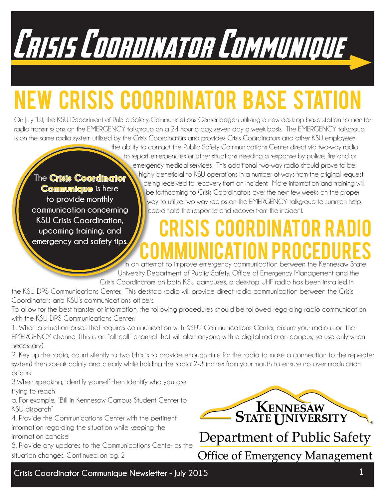Crisis Coordinator Communique

# **EW CRISIS COORDINATOR BASE STATI**

On July 1st, the KSU Department of Public Safety Communications Center began utilizing a new desktop base station to monitor radio transmissions on the EMERGENCY talkgroup on a 24 hour a day, seven day a week basis. The EMERGENCY talkgroup is on the same radio system utilized by the Crisis Coordinators and provides Crisis Coordinators and other KSU employees

**The Crisis Coordinator Communique is here to provide monthly communication concerning KSU Crisis Coordination, upcoming training, and emergency and safety tips.** 

the ability to contact the Public Safety Communications Center direct via two-way radio to report emergencies or other situations needing a response by police, fire and or emergency medical services. This additional two-way radio should prove to be highly beneficial to KSU operations in a number of ways from the original request being received to recovery from an incident. More information and training will be forthcoming to Crisis Coordinators over the next few weeks on the proper way to utilize two-way radios on the EMERGENCY talkgroup to summon help, coordinate the response and recover from the incident.

## S COORDINATO Communication Procedures In an attempt to improve emergency communication between the Kennesaw State

University Department of Public Safety, Office of Emergency Management and the Crisis Coordinators on both KSU campuses, a desktop UHF radio has been installed in

the KSU DPS Communications Center. This desktop radio will provide direct radio communication between the Crisis Coordinators and KSU's communications officers.

To allow for the best transfer of information, the following procedures should be followed regarding radio communication with the KSU DPS Communications Center:

1. When a situation arises that requires communication with KSU's Communications Center, ensure your radio is on the EMERGENCY channel (this is an "all-call" channel that will alert anyone with a digital radio on campus, so use only when necessary)

2. Key up the radio, count silently to two (this is to provide enough time for the radio to make a connection to the repeater system) then speak calmly and clearly while holding the radio 2-3 inches from your mouth to ensure no over modulation occurs

3.When speaking, identify yourself then identify who you are trying to reach

a. For example, "Bill in Kennesaw Campus Student Center to KSU dispatch"

4. Provide the Communications Center with the pertinent information regarding the situation while keeping the information concise

5. Provide any updates to the Communications Center as the situation changes. Continued on pg. 2

KENNESAW Department of Public Safety **Office of Emergency Management** 

**Crisis Coordinator Communique Newsletter - July 2015 1**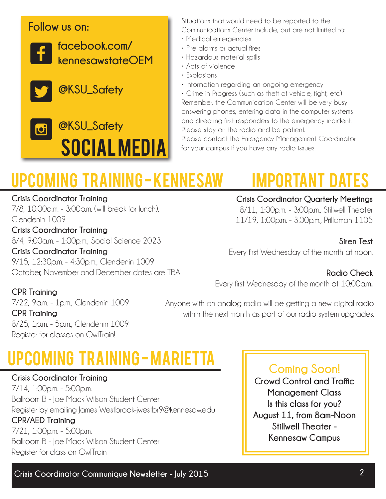#### **Follow us on:**



**@KSU\_Safety** J



Situations that would need to be reported to the Communications Center include, but are not limited to:

- Medical emergencies
- Fire alarms or actual fires
- Hazardous material spills
- Acts of violence
- Explosions
- Information regarding an ongoing emergency

• Crime in Progress (such as theft of vehicle, fight, etc) Remember, the Communication Center will be very busy answering phones, entering data in the computer systems and directing first responders to the emergency incident. Please stay on the radio and be patient. Please contact the Emergency Management Coordinator

for your campus if you have any radio issues.

## Upcoming Training - Kennesaw Important Dates

#### **Crisis Coordinator Training**

7/8, 10:00a.m. - 3:00p.m. (will break for lunch), Clendenin 1009 **Crisis Coordinator Training** 

8/4, 9:00a.m. - 1:00p.m., Social Science 2023

**Crisis Coordinator Training** 9/15, 12:30p.m. - 4:30p.m., Clendenin 1009 October, November and December dates are TBA

## **Crisis Coordinator Quarterly Meetings**

8/11, 1:00p.m. - 3:00p.m., Stillwell Theater 11/19, 1:00p.m. - 3:00p.m., Prillaman 1105

#### **Siren Test**

Every first Wednesday of the month at noon.

#### **Radio Check**

Every first Wednesday of the month at 10:00a.m**.**

#### **CPR Training**

7/22, 9a.m. - 1p.m., Clendenin 1009 **CPR Training** 8/25, 1p.m. - 5p.m., Clendenin 1009 Register for classes on OwlTrain!

#### Anyone with an analog radio will be getting a new digital radio within the next month as part of our radio system upgrades.

## Upcoming Training - Marietta

**Crisis Coordinator Training** 7/14, 1:00p.m. - 5:00p.m. Ballroom B - Joe Mack Wilson Student Center Register by emailing James Westbrook-jwestbr9@kennesaw.edu **CPR/AED Training** 7/21, 1:00p.m. - 5:00p.m. Ballroom B - Joe Mack Wilson Student Center Register for class on OwlTrain

### **Coming Soon!**

**Crowd Control and Traffic Management Class Is this class for you? August 11, from 8am-Noon Stillwell Theater - Kennesaw Campus**